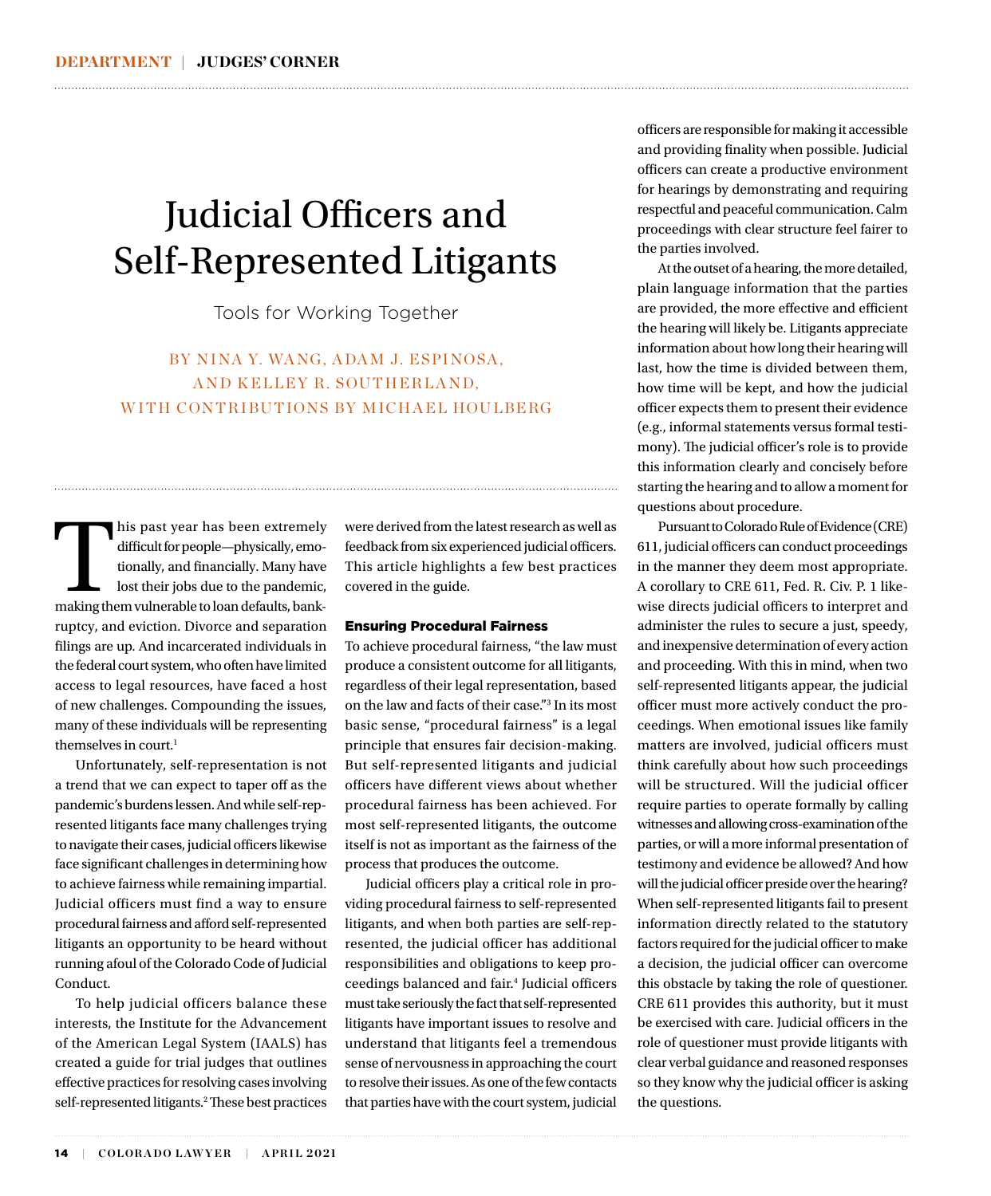## Judicial Officers and Self-Represented Litigants

Tools for Working Together

BY NINA Y. WANG, ADAM J. ESPINOSA, AND KELLEY R. SOUTHERLAND, WITH CONTRIBUTIONS BY MICHAEL HOULBERG

This past year has been extremely difficult for people—physically, emotionally, and financially. Many have lost their jobs due to the pandemic, making them vulnerable to loan defaults, bankdifficult for people—physically, emotionally, and financially. Many have lost their jobs due to the pandemic, ruptcy, and eviction. Divorce and separation filings are up. And incarcerated individuals in the federal court system, who often have limited access to legal resources, have faced a host of new challenges. Compounding the issues, many of these individuals will be representing themselves in court.<sup>1</sup>

Unfortunately, self-representation is not a trend that we can expect to taper off as the pandemic's burdens lessen. And while self-represented litigants face many challenges trying to navigate their cases, judicial officers likewise face significant challenges in determining how to achieve fairness while remaining impartial. Judicial officers must find a way to ensure procedural fairness and afford self-represented litigants an opportunity to be heard without running afoul of the Colorado Code of Judicial Conduct.

To help judicial officers balance these interests, the Institute for the Advancement of the American Legal System (IAALS) has created a guide for trial judges that outlines effective practices for resolving cases involving self-represented litigants.<sup>2</sup> These best practices

were derived from the latest research as well as feedback from six experienced judicial officers. This article highlights a few best practices covered in the guide.

#### Ensuring Procedural Fairness

To achieve procedural fairness, "the law must produce a consistent outcome for all litigants, regardless of their legal representation, based on the law and facts of their case."3 In its most basic sense, "procedural fairness" is a legal principle that ensures fair decision-making. But self-represented litigants and judicial officers have different views about whether procedural fairness has been achieved. For most self-represented litigants, the outcome itself is not as important as the fairness of the process that produces the outcome.

Judicial officers play a critical role in providing procedural fairness to self-represented litigants, and when both parties are self-represented, the judicial officer has additional responsibilities and obligations to keep proceedings balanced and fair.4 Judicial officers must take seriously the fact that self-represented litigants have important issues to resolve and understand that litigants feel a tremendous sense of nervousness in approaching the court to resolve their issues. As one of the few contacts that parties have with the court system, judicial

officers are responsible for making it accessible and providing finality when possible. Judicial officers can create a productive environment for hearings by demonstrating and requiring respectful and peaceful communication. Calm proceedings with clear structure feel fairer to the parties involved.

At the outset of a hearing, the more detailed, plain language information that the parties are provided, the more effective and efficient the hearing will likely be. Litigants appreciate information about how long their hearing will last, how the time is divided between them, how time will be kept, and how the judicial officer expects them to present their evidence (e.g., informal statements versus formal testimony). The judicial officer's role is to provide this information clearly and concisely before starting the hearing and to allow a moment for questions about procedure.

Pursuant to Colorado Rule of Evidence (CRE) 611, judicial officers can conduct proceedings in the manner they deem most appropriate. A corollary to CRE 611, Fed. R. Civ. P. 1 likewise directs judicial officers to interpret and administer the rules to secure a just, speedy, and inexpensive determination of every action and proceeding. With this in mind, when two self-represented litigants appear, the judicial officer must more actively conduct the proceedings. When emotional issues like family matters are involved, judicial officers must think carefully about how such proceedings will be structured. Will the judicial officer require parties to operate formally by calling witnesses and allowing cross-examination of the parties, or will a more informal presentation of testimony and evidence be allowed? And how will the judicial officer preside over the hearing? When self-represented litigants fail to present information directly related to the statutory factors required for the judicial officer to make a decision, the judicial officer can overcome this obstacle by taking the role of questioner. CRE 611 provides this authority, but it must be exercised with care. Judicial officers in the role of questioner must provide litigants with clear verbal guidance and reasoned responses so they know why the judicial officer is asking the questions.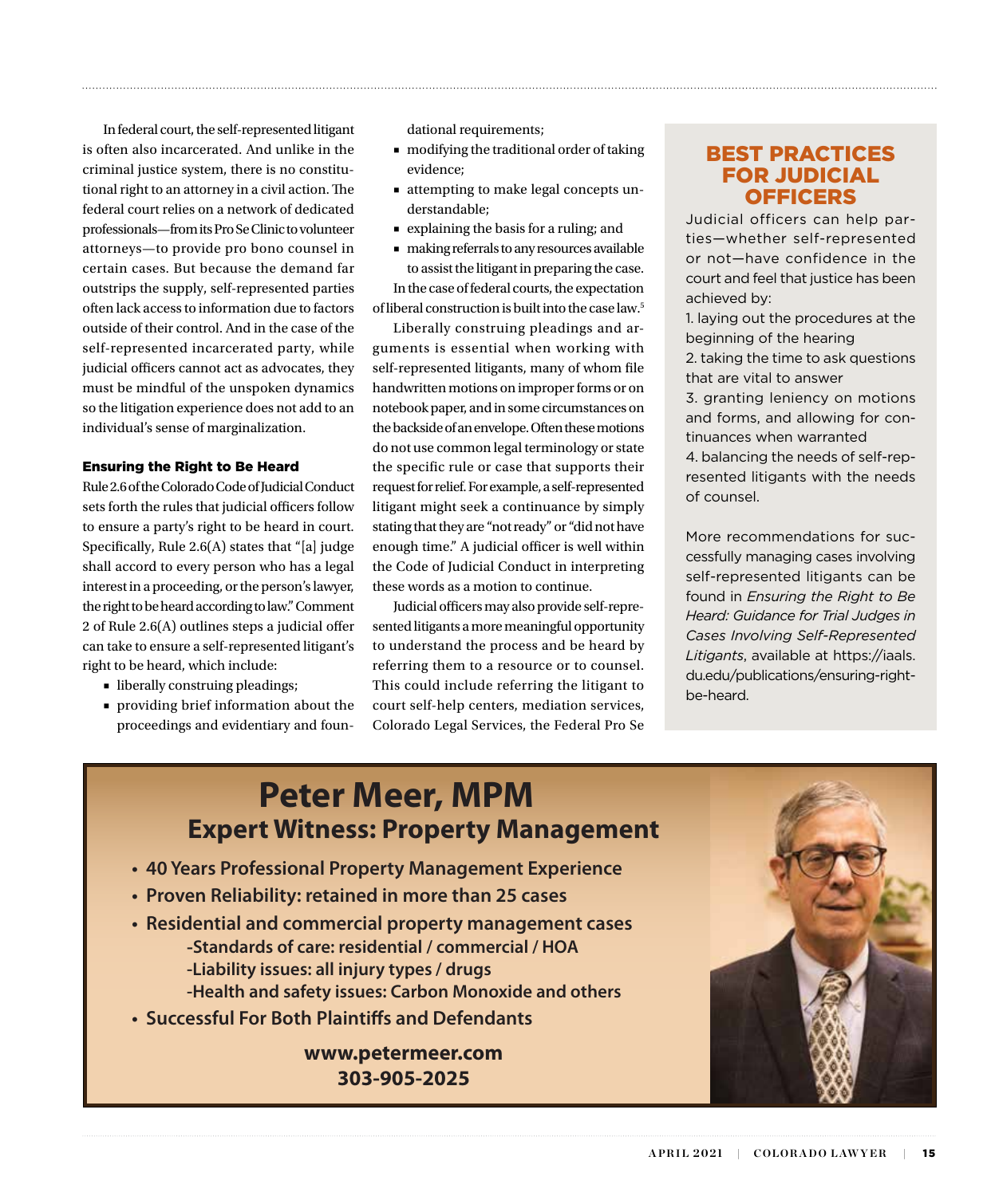In federal court, the self-represented litigant is often also incarcerated. And unlike in the criminal justice system, there is no constitutional right to an attorney in a civil action. The federal court relies on a network of dedicated professionals—from its Pro Se Clinic to volunteer attorneys—to provide pro bono counsel in certain cases. But because the demand far outstrips the supply, self-represented parties often lack access to information due to factors outside of their control. And in the case of the self-represented incarcerated party, while judicial officers cannot act as advocates, they must be mindful of the unspoken dynamics so the litigation experience does not add to an individual's sense of marginalization.

#### Ensuring the Right to Be Heard

Rule 2.6 of the Colorado Code of Judicial Conduct sets forth the rules that judicial officers follow to ensure a party's right to be heard in court. Specifically, Rule 2.6(A) states that "[a] judge shall accord to every person who has a legal interest in a proceeding, or the person's lawyer, the right to be heard according to law." Comment 2 of Rule 2.6(A) outlines steps a judicial offer can take to ensure a self-represented litigant's right to be heard, which include:

- liberally construing pleadings;
- providing brief information about the proceedings and evidentiary and foun-

dational requirements;

■ modifying the traditional order of taking evidence;

- attempting to make legal concepts understandable;
- explaining the basis for a ruling; and
- making referrals to any resources available to assist the litigant in preparing the case. In the case of federal courts, the expectation of liberal construction is built into the case law.5

Liberally construing pleadings and arguments is essential when working with self-represented litigants, many of whom file handwritten motions on improper forms or on notebook paper, and in some circumstances on the backside of an envelope. Often these motions do not use common legal terminology or state the specific rule or case that supports their request for relief. For example, a self-represented litigant might seek a continuance by simply stating that they are "not ready" or "did not have enough time." A judicial officer is well within the Code of Judicial Conduct in interpreting these words as a motion to continue.

Judicial officers may also provide self-represented litigants a more meaningful opportunity to understand the process and be heard by referring them to a resource or to counsel. This could include referring the litigant to court self-help centers, mediation services, Colorado Legal Services, the Federal Pro Se

#### BEST PRACTICES FOR JUDICIAL **OFFICERS**

Judicial officers can help parties—whether self-represented or not—have confidence in the court and feel that justice has been achieved by:

1. laying out the procedures at the beginning of the hearing

2. taking the time to ask questions that are vital to answer

3. granting leniency on motions and forms, and allowing for continuances when warranted

4. balancing the needs of self-represented litigants with the needs of counsel.

More recommendations for successfully managing cases involving self-represented litigants can be found in *Ensuring the Right to Be Heard: Guidance for Trial Judges in Cases Involving Self-Represented Litigants*, available at https://iaals. du.edu/publications/ensuring-rightbe-heard.

## **Expert Witness: Property Management Peter Meer, MPM**

- **40 Years Professional Property Management Experience**
- **Proven Reliability: retained in more than 25 cases**
- **Residential and commercial property management cases -Standards of care: residential / commercial / HOA -Liability issues: all injury types / drugs -Health and safety issues: Carbon Monoxide and others**
- **Successful For Both Plaintiffs and Defendants**

**www.petermeer.com 303-905-2025**

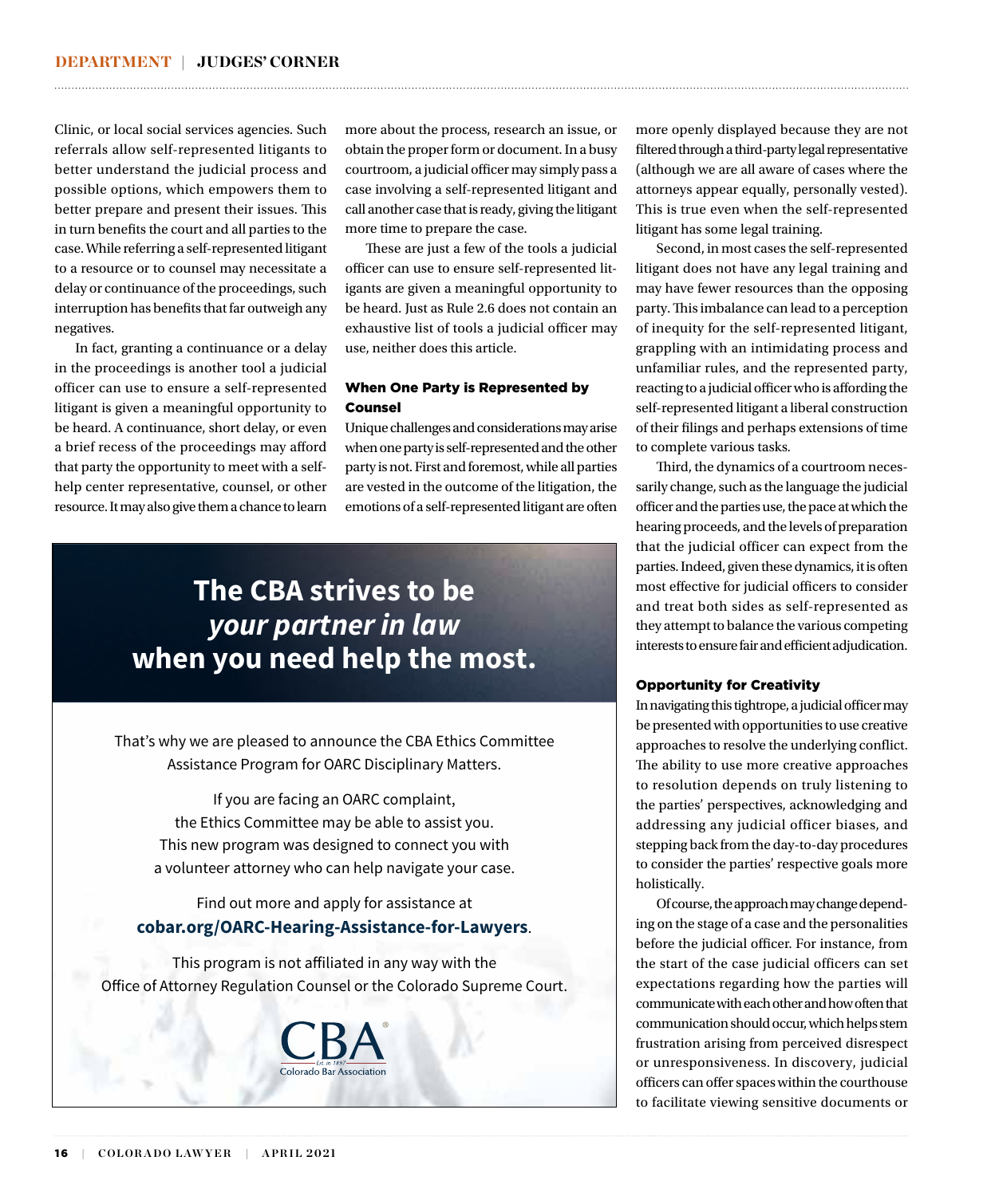Clinic, or local social services agencies. Such referrals allow self-represented litigants to better understand the judicial process and possible options, which empowers them to better prepare and present their issues. This in turn benefits the court and all parties to the case. While referring a self-represented litigant to a resource or to counsel may necessitate a delay or continuance of the proceedings, such interruption has benefits that far outweigh any negatives.

In fact, granting a continuance or a delay in the proceedings is another tool a judicial officer can use to ensure a self-represented litigant is given a meaningful opportunity to be heard. A continuance, short delay, or even a brief recess of the proceedings may afford that party the opportunity to meet with a selfhelp center representative, counsel, or other resource. It may also give them a chance to learn

more about the process, research an issue, or obtain the proper form or document. In a busy courtroom, a judicial officer may simply pass a case involving a self-represented litigant and call another case that is ready, giving the litigant more time to prepare the case.

These are just a few of the tools a judicial officer can use to ensure self-represented litigants are given a meaningful opportunity to be heard. Just as Rule 2.6 does not contain an exhaustive list of tools a judicial officer may use, neither does this article.

#### When One Party is Represented by Counsel

Unique challenges and considerations may arise when one party is self-represented and the other party is not. First and foremost, while all parties are vested in the outcome of the litigation, the emotions of a self-represented litigant are often

## **The CBA strives to be**  *your partner in law* **when you need help the most.**

That's why we are pleased to announce the CBA Ethics Committee Assistance Program for OARC Disciplinary Matters.

If you are facing an OARC complaint, the Ethics Committee may be able to assist you. This new program was designed to connect you with a volunteer attorney who can help navigate your case.

#### Find out more and apply for assistance at **cobar.org/OARC-Hearing-Assistance-for-Lawyers**.

This program is not affiliated in any way with the Office of Attorney Regulation Counsel or the Colorado Supreme Court.



more openly displayed because they are not filtered through a third-party legal representative (although we are all aware of cases where the attorneys appear equally, personally vested). This is true even when the self-represented litigant has some legal training.

Second, in most cases the self-represented litigant does not have any legal training and may have fewer resources than the opposing party. This imbalance can lead to a perception of inequity for the self-represented litigant, grappling with an intimidating process and unfamiliar rules, and the represented party, reacting to a judicial officer who is affording the self-represented litigant a liberal construction of their filings and perhaps extensions of time to complete various tasks.

Third, the dynamics of a courtroom necessarily change, such as the language the judicial officer and the parties use, the pace at which the hearing proceeds, and the levels of preparation that the judicial officer can expect from the parties. Indeed, given these dynamics, it is often most effective for judicial officers to consider and treat both sides as self-represented as they attempt to balance the various competing interests to ensure fair and efficient adjudication.

#### Opportunity for Creativity

In navigating this tightrope, a judicial officer may be presented with opportunities to use creative approaches to resolve the underlying conflict. The ability to use more creative approaches to resolution depends on truly listening to the parties' perspectives, acknowledging and addressing any judicial officer biases, and stepping back from the day-to-day procedures to consider the parties' respective goals more holistically.

Of course, the approach may change depending on the stage of a case and the personalities before the judicial officer. For instance, from the start of the case judicial officers can set expectations regarding how the parties will communicate with each other and how often that communication should occur, which helps stem frustration arising from perceived disrespect or unresponsiveness. In discovery, judicial officers can offer spaces within the courthouse to facilitate viewing sensitive documents or